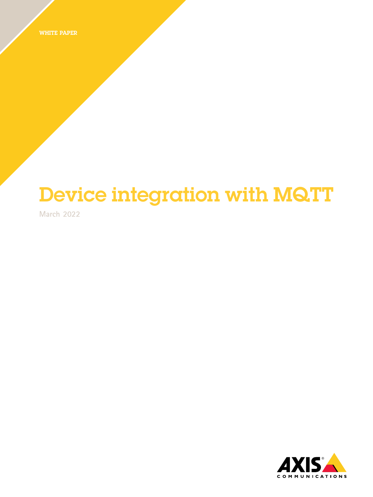WHITE PAPER

# Device integration with MQTT

**March 2022**

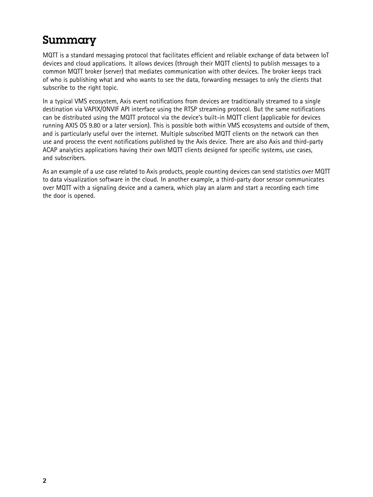#### Summary

MQTT is <sup>a</sup> standard messaging protocol that facilitates efficient and reliable exchange of data between IoT devices and cloud applications. It allows devices (through their MQTT clients) to publish messages to <sup>a</sup> common MQTT broker (server) that mediates communication with other devices. The broker keeps track of who is publishing what and who wants to see the data, forwarding messages to only the clients that subscribe to the right topic.

In <sup>a</sup> typical VMS ecosystem, Axis event notifications from devices are traditionally streamed to <sup>a</sup> single destination via VAPIX/ONVIF API interface using the RTSP streaming protocol. But the same notifications can be distributed using the MQTT protocol via the device's built-in MQTT client (applicable for devices running AXIS OS 9.80 or <sup>a</sup> later version). This is possible both within VMS ecosystems and outside of them, and is particularly useful over the internet. Multiple subscribed MQTT clients on the network can then use and process the event notifications published by the Axis device. There are also Axis and third-party ACAP analytics applications having their own MQTT clients designed for specific systems, use cases, and subscribers.

As an example of a use case related to Axis products, people counting devices can send statistics over MQTT to data visualization software in the cloud. In another example, <sup>a</sup> third-party door sensor communicates over MQTT with <sup>a</sup> signaling device and <sup>a</sup> camera, which play an alarm and start <sup>a</sup> recording each time the door is opened.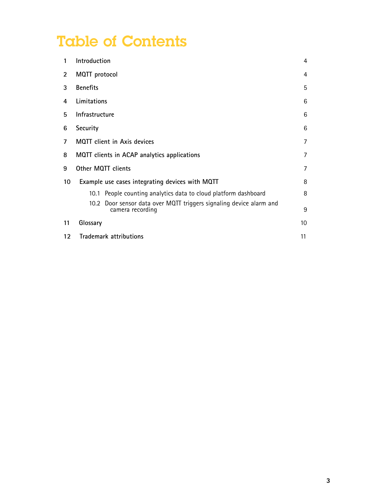## Table of Contents

| 1                 | Introduction                                                                               | 4  |
|-------------------|--------------------------------------------------------------------------------------------|----|
| $\overline{2}$    | MQTT protocol                                                                              | 4  |
| 3                 | <b>Benefits</b>                                                                            | 5  |
| 4                 | Limitations                                                                                |    |
| 5                 | Infrastructure                                                                             |    |
| 6                 | Security                                                                                   |    |
| 7                 | <b>MQTT</b> client in Axis devices<br>7                                                    |    |
| 8                 | MQTT clients in ACAP analytics applications                                                | 7  |
| 9                 | Other MQTT clients<br>7                                                                    |    |
| 10                | Example use cases integrating devices with MQTT                                            | 8  |
|                   | People counting analytics data to cloud platform dashboard<br>10.1                         | 8  |
|                   | Door sensor data over MQTT triggers signaling device alarm and<br>10.2<br>camera recording | 9  |
| 11                | Glossary                                                                                   | 10 |
| $12 \overline{ }$ | Trademark attributions                                                                     | 11 |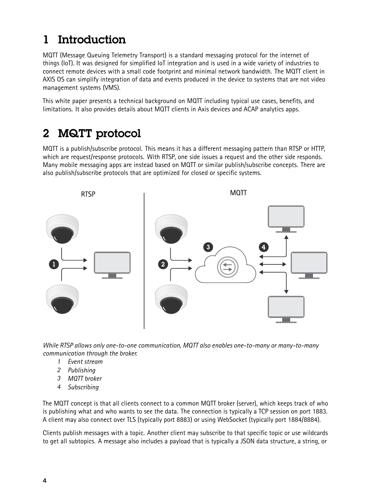#### <span id="page-3-0"></span>1 Introduction

MQTT (Message Queuing Telemetry Transport) is <sup>a</sup> standard messaging protocol for the internet of things (IoT). It was designed for simplified IoT integration and is used in <sup>a</sup> wide variety of industries to connect remote devices with <sup>a</sup> small code footprint and minimal network bandwidth. The MQTT client in AXIS OS can simplify integration of data and events produced in the device to systems that are not video management systems (VMS).

This white paper presents <sup>a</sup> technical background on MQTT including typical use cases, benefits, and limitations. It also provides details about MQTT clients in Axis devices and ACAP analytics apps.

#### 2 MQTT protocol

MQTT is <sup>a</sup> publish/subscribe protocol. This means it has <sup>a</sup> different messaging pattern than RTSP or HTTP, which are request/response protocols. With RTSP, one side issues <sup>a</sup> request and the other side responds. Many mobile messaging apps are instead based on MQTT or similar publish/subscribe concepts. There are also publish/subscribe protocols that are optimized for closed or specific systems.



*While RTSP allows only one-to-one communication, MQTT also enables one-to-many or many-to-many communication through the broker.*

- *1 Event stream*
- *2 Publishing*
- *3 MQTT broker*
- *4 Subscribing*

The MQTT concept is that all clients connect to <sup>a</sup> common MQTT broker (server), which keeps track of who is publishing what and who wants to see the data. The connection is typically <sup>a</sup> TCP session on port 1883. A client may also connect over TLS (typically port 8883) or using WebSocket (typically port 1884/8884).

Clients publish messages with <sup>a</sup> topic. Another client may subscribe to that specific topic or use wildcards to get all subtopics. A message also includes <sup>a</sup> payload that is typically <sup>a</sup> JSON data structure, <sup>a</sup> string, or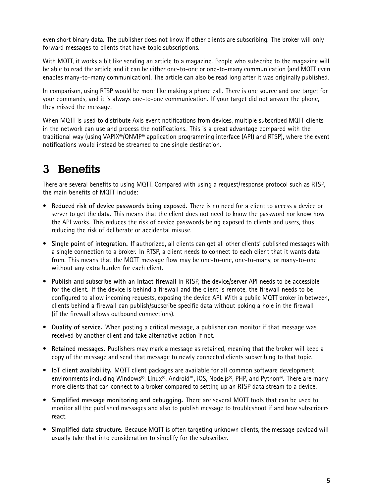<span id="page-4-0"></span>even short binary data. The publisher does not know if other clients are subscribing. The broker will only forward messages to clients that have topic subscriptions.

With MQTT. it works a bit like sending an article to a magazine. People who subscribe to the magazine will be able to read the article and it can be either one-to-one or one-to-many communication (and MQTT even enables many-to-many communication). The article can also be read long after it was originally published.

In comparison, using RTSP would be more like making <sup>a</sup> phone call. There is one source and one target for your commands, and it is always one-to-one communication. If your target did not answer the phone, they missed the message.

When MQTT is used to distribute Axis event notifications from devices, multiple subscribed MQTT clients in the network can use and process the notifications. This is <sup>a</sup> great advantage compared with the traditional way (using VAPIX®/ONVIF® application programming interface (API) and RTSP), where the event notifications would instead be streamed to one single destination.

#### 3 Benefits

There are several benefits to using MQTT. Compared with using <sup>a</sup> request/response protocol such as RTSP, the main benefits of MQTT include:

- **Reduced risk of device passwords being exposed.** There is no need for <sup>a</sup> client to access <sup>a</sup> device or server to get the data. This means that the client does not need to know the password nor know how the API works. This reduces the risk of device passwords being exposed to clients and users, thus reducing the risk of deliberate or accidental misuse.
- **Single point of integration.** If authorized, all clients can get all other clients' published messages with <sup>a</sup> single connection to <sup>a</sup> broker. In RTSP, <sup>a</sup> client needs to connect to each client that it wants data from. This means that the MQTT message flow may be one-to-one, one-to-many, or many-to-one without any extra burden for each client.
- **Publish and subscribe with an intact firewall** In RTSP, the device/server API needs to be accessible for the client. If the device is behind <sup>a</sup> firewall and the client is remote, the firewall needs to be configured to allow incoming requests, exposing the device API. With <sup>a</sup> public MQTT broker in between, clients behind <sup>a</sup> firewall can publish/subscribe specific data without poking <sup>a</sup> hole in the firewall (if the firewall allows outbound connections).
- **Quality of service.** When posting <sup>a</sup> critical message, <sup>a</sup> publisher can monitor if that message was received by another client and take alternative action if not.
- **Retained messages.** Publishers may mark <sup>a</sup> message as retained, meaning that the broker will keep <sup>a</sup> copy of the message and send that message to newly connected clients subscribing to that topic.
- **IoT client availability.** MQTT client packages are available for all common software development environments including Windows®, Linux®, Android™, iOS, Node.js®, PHP, and Python®. There are many more clients that can connect to <sup>a</sup> broker compared to setting up an RTSP data stream to <sup>a</sup> device.
- **Simplified message monitoring and debugging.** There are several MQTT tools that can be used to monitor all the published messages and also to publish message to troubleshoot if and how subscribers react.
- **Simplified data structure.** Because MQTT is often targeting unknown clients, the message payload will usually take that into consideration to simplify for the subscriber.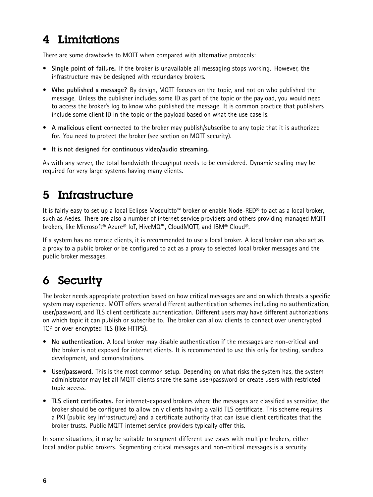#### <span id="page-5-0"></span>4 Limitations

There are some drawbacks to MQTT when compared with alternative protocols:

- **Single point of failure.** If the broker is unavailable all messaging stops working. However, the infrastructure may be designed with redundancy brokers.
- **Who published <sup>a</sup> message?** By design, MQTT focuses on the topic, and not on who published the message. Unless the publisher includes some ID as part of the topic or the payload, you would need to access the broker's log to know who published the message. It is common practice that publishers include some client ID in the topic or the payload based on what the use case is.
- **A malicious client** connected to the broker may publish/subscribe to any topic that it is authorized for. You need to protect the broker (see section on MQTT security).
- It is **not designed for continuous video/audio streaming.**

As with any server, the total bandwidth throughput needs to be considered. Dynamic scaling may be required for very large systems having many clients.

#### 5 Infrastructure

It is fairly easy to set up <sup>a</sup> local Eclipse Mosquitto™ broker or enable Node-RED® to act as <sup>a</sup> local broker, such as Aedes. There are also <sup>a</sup> number of internet service providers and others providing managed MQTT brokers, like Microsoft® Azure® IoT, HiveMQ™, CloudMQTT, and IBM® Cloud®.

If <sup>a</sup> system has no remote clients, it is recommended to use <sup>a</sup> local broker. A local broker can also act as <sup>a</sup> proxy to <sup>a</sup> public broker or be configured to act as <sup>a</sup> proxy to selected local broker messages and the public broker messages.

#### 6 Security

The broker needs appropriate protection based on how critical messages are and on which threats <sup>a</sup> specific system may experience. MQTT offers several different authentication schemes including no authentication, user/password, and TLS client certificate authentication. Different users may have different authorizations on which topic it can publish or subscribe to. The broker can allow clients to connect over unencrypted TCP or over encrypted TLS (like HTTPS).

- **No authentication.** A local broker may disable authentication if the messages are non-critical and the broker is not exposed for internet clients. It is recommended to use this only for testing, sandbox development, and demonstrations.
- **User/password.** This is the most common setup. Depending on what risks the system has, the system administrator may let all MQTT clients share the same user/password or create users with restricted topic access.
- **TLS client certificates.** For internet-exposed brokers where the messages are classified as sensitive, the broker should be configured to allow only clients having <sup>a</sup> valid TLS certificate. This scheme requires <sup>a</sup> PKI (public key infrastructure) and <sup>a</sup> certificate authority that can issue client certificates that the broker trusts. Public MQTT internet service providers typically offer this.

In some situations, it may be suitable to segment different use cases with multiple brokers, either local and/or public brokers. Segmenting critical messages and non-critical messages is <sup>a</sup> security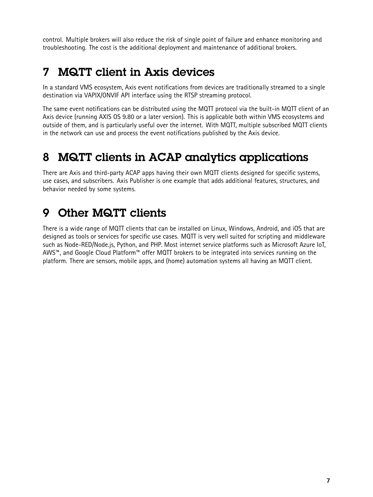<span id="page-6-0"></span>control. Multiple brokers will also reduce the risk of single point of failure and enhance monitoring and troubleshooting. The cost is the additional deployment and maintenance of additional brokers.

#### 7 MQTT client in Axis devices

In <sup>a</sup> standard VMS ecosystem, Axis event notifications from devices are traditionally streamed to <sup>a</sup> single destination via VAPIX/ONVIF API interface using the RTSP streaming protocol.

The same event notifications can be distributed using the MQTT protocol via the built-in MQTT client of an Axis device (running AXIS OS 9.80 or <sup>a</sup> later version). This is applicable both within VMS ecosystems and outside of them, and is particularly useful over the internet. With MQTT, multiple subscribed MQTT clients in the network can use and process the event notifications published by the Axis device.

#### 8 MQTT clients in ACAP analytics applications

There are Axis and third-party ACAP apps having their own MQTT clients designed for specific systems, use cases, and subscribers. Axis Publisher is one example that adds additional features, structures, and behavior needed by some systems.

#### 9 Other MQTT clients

There is <sup>a</sup> wide range of MQTT clients that can be installed on Linux, Windows, Android, and iOS that are designed as tools or services for specific use cases. MQTT is very well suited for scripting and middleware such as Node-RED/Node.js, Python, and PHP. Most internet service platforms such as Microsoft Azure IoT, AWS™, and Google Cloud Platform™ offer MQTT brokers to be integrated into services running on the platform. There are sensors, mobile apps, and (home) automation systems all having an MQTT client.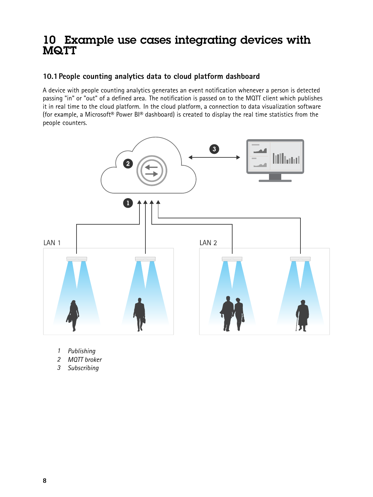#### <span id="page-7-0"></span>10 Example use cases integrating devices with MQTT

#### **10.1People counting analytics data to cloud platform dashboard**

A device with people counting analytics generates an event notification whenever <sup>a</sup> person is detected passing "in" or "out" of <sup>a</sup> defined area. The notification is passed on to the MQTT client which publishes it in real time to the cloud platform. In the cloud platform, <sup>a</sup> connection to data visualization software (for example, <sup>a</sup> Microsoft® Power BI® dashboard) is created to display the real time statistics from the people counters.



- *1 Publishing*
- *2 MQTT broker*
- *3 Subscribing*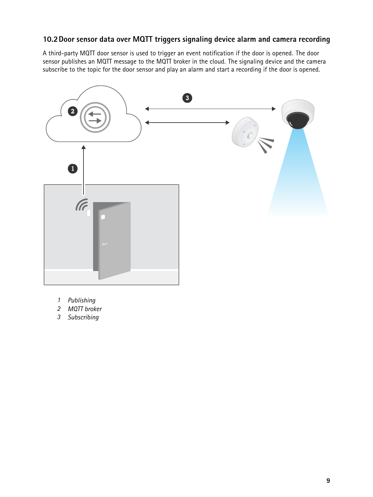#### <span id="page-8-0"></span>**10.2Door sensor data over MQTT triggers signaling device alarm and camera recording**

A third-party MQTT door sensor is used to trigger an event notification if the door is opened. The door sensor publishes an MQTT message to the MQTT broker in the cloud. The signaling device and the camera subscribe to the topic for the door sensor and play an alarm and start <sup>a</sup> recording if the door is opened.



- *1 Publishing*
- *2 MQTT broker*
- *3 Subscribing*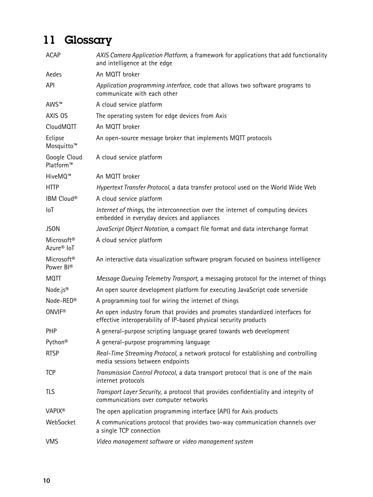## <span id="page-9-0"></span>11 Glossary

| <b>ACAP</b>                                      | AXIS Camera Application Platform, a framework for applications that add functionality<br>and intelligence at the edge                              |
|--------------------------------------------------|----------------------------------------------------------------------------------------------------------------------------------------------------|
| Aedes                                            | An MQTT broker                                                                                                                                     |
| API                                              | Application programming interface, code that allows two software programs to<br>communicate with each other                                        |
| AWS™                                             | A cloud service platform                                                                                                                           |
| AXIS OS                                          | The operating system for edge devices from Axis                                                                                                    |
| CloudMQTT                                        | An MQTT broker                                                                                                                                     |
| Eclipse<br>Mosquitto <sup>™</sup>                | An open-source message broker that implements MQTT protocols                                                                                       |
| Google Cloud<br>Platform™                        | A cloud service platform                                                                                                                           |
| HiveMQ™                                          | An MQTT broker                                                                                                                                     |
| <b>HTTP</b>                                      | Hypertext Transfer Protocol, a data transfer protocol used on the World Wide Web                                                                   |
| IBM Cloud®                                       | A cloud service platform                                                                                                                           |
| IoT                                              | Internet of things, the interconnection over the internet of computing devices<br>embedded in everyday devices and appliances                      |
| <b>JSON</b>                                      | JavaScript Object Notation, a compact file format and data interchange format                                                                      |
| Microsoft <sup>®</sup><br>Azure <sup>®</sup> IoT | A cloud service platform                                                                                                                           |
| Microsoft <sup>®</sup><br>Power Bl®              | An interactive data visualization software program focused on business intelligence                                                                |
| <b>MQTT</b>                                      | Message Queuing Telemetry Transport, a messaging protocol for the internet of things                                                               |
| Node.js®                                         | An open source development platform for executing JavaScript code serverside                                                                       |
| Node-RED®                                        | A programming tool for wiring the internet of things                                                                                               |
| <b>ONVIF®</b>                                    | An open industry forum that provides and promotes standardized interfaces for<br>effective interoperability of IP-based physical security products |
| PHP                                              | A general-purpose scripting language geared towards web development                                                                                |
| Python <sup>®</sup>                              | A general-purpose programming language                                                                                                             |
| <b>RTSP</b>                                      | Real-Time Streaming Protocol, a network protocol for establishing and controlling<br>media sessions between endpoints                              |
| <b>TCP</b>                                       | Transmission Control Protocol, a data transport protocol that is one of the main<br>internet protocols                                             |
| <b>TLS</b>                                       | Transport Layer Security, a protocol that provides confidentiality and integrity of<br>communications over computer networks                       |
| <b>VAPIX®</b>                                    | The open application programming interface (API) for Axis products                                                                                 |
| WebSocket                                        | A communications protocol that provides two-way communication channels over<br>a single TCP connection                                             |
| <b>VMS</b>                                       | Video management software or video management system                                                                                               |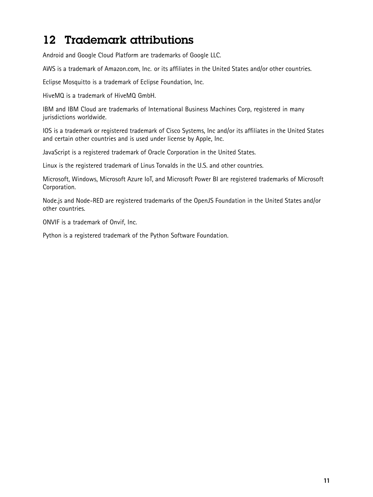#### <span id="page-10-0"></span>12 Trademark attributions

Android and Google Cloud Platform are trademarks of Google LLC.

AWS is <sup>a</sup> trademark of Amazon.com, Inc. or its affiliates in the United States and/or other countries.

Eclipse Mosquitto is <sup>a</sup> trademark of Eclipse Foundation, Inc.

HiveMQ is <sup>a</sup> trademark of HiveMQ GmbH.

IBM and IBM Cloud are trademarks of International Business Machines Corp, registered in many jurisdictions worldwide.

IOS is <sup>a</sup> trademark or registered trademark of Cisco Systems, Inc and/or its affiliates in the United States and certain other countries and is used under license by Apple, Inc.

JavaScript is <sup>a</sup> registered trademark of Oracle Corporation in the United States.

Linux is the registered trademark of Linus Torvalds in the U.S. and other countries.

Microsoft, Windows, Microsoft Azure IoT, and Microsoft Power BI are registered trademarks of Microsoft Corporation.

Node.js and Node-RED are registered trademarks of the OpenJS Foundation in the United States and/or other countries.

ONVIF is <sup>a</sup> trademark of Onvif, Inc.

Python is <sup>a</sup> registered trademark of the Python Software Foundation.